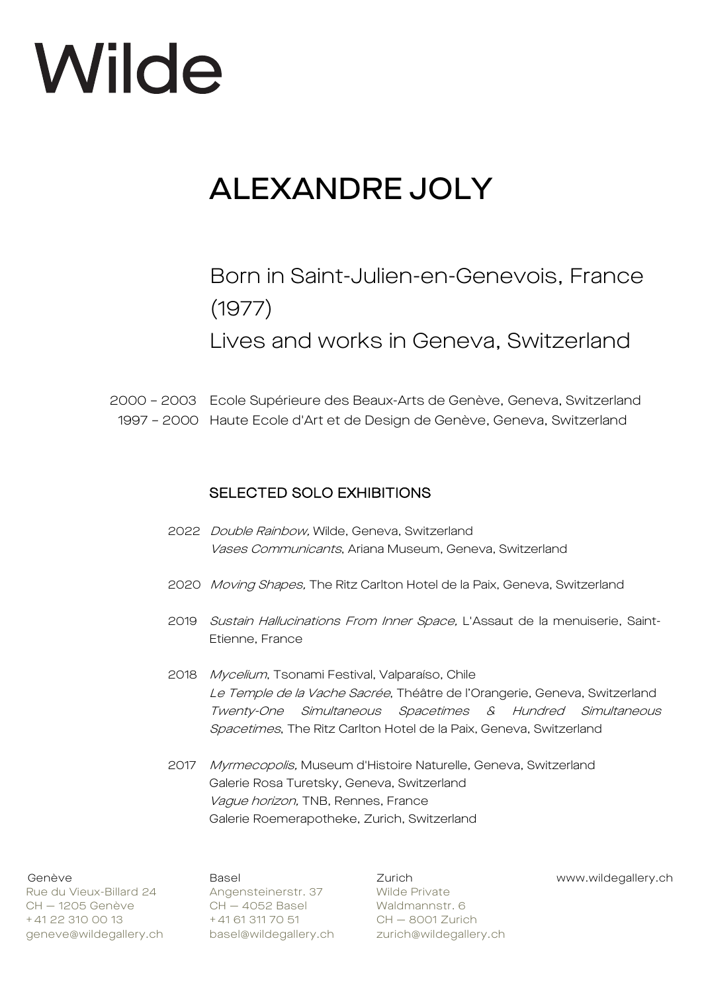## ALEXANDRE JOLY

## Born in Saint-Julien-en-Genevois, France (1977)

Lives and works in Geneva, Switzerland

2000 – 2003 Ecole Supérieure des Beaux-Arts de Genève, Geneva, Switzerland 1997 – 2000 Haute Ecole d'Art et de Design de Genève, Geneva, Switzerland

## SELECTED SOLO EXHIBITIONS

- 2022 Double Rainbow, Wilde, Geneva, Switzerland Vases Communicants, Ariana Museum, Geneva, Switzerland
- 2020 Moving Shapes, The Ritz Carlton Hotel de la Paix, Geneva, Switzerland
- 2019 Sustain Hallucinations From Inner Space, L'Assaut de la menuiserie, Saint-Etienne, France
- 2018 Mycelium, Tsonami Festival, Valparaíso, Chile Le Temple de la Vache Sacrée, Théâtre de l'Orangerie, Geneva, Switzerland Twenty-One Simultaneous Spacetimes & Hundred Simultaneous Spacetimes, The Ritz Carlton Hotel de la Paix, Geneva, Switzerland
- 2017 Myrmecopolis, Museum d'Histoire Naturelle, Geneva, Switzerland Galerie Rosa Turetsky, Geneva, Switzerland Vague horizon, TNB, Rennes, France Galerie Roemerapotheke, Zurich, Switzerland

Rue du Vieux-Billard 24 Angensteinerstr. 37 Wilde Private<br>CH – 1205 Genève CH – 4052 Basel Waldmannstr. + 41 22 310 00 13 + 41 61 311 70 51 CH — 8001 Zurich geneve@wildegallery.ch basel@wildegallery.ch zurich@wildegallery.ch

CH — 1205 Genève CH — 4052 Basel Waldmannstr. 6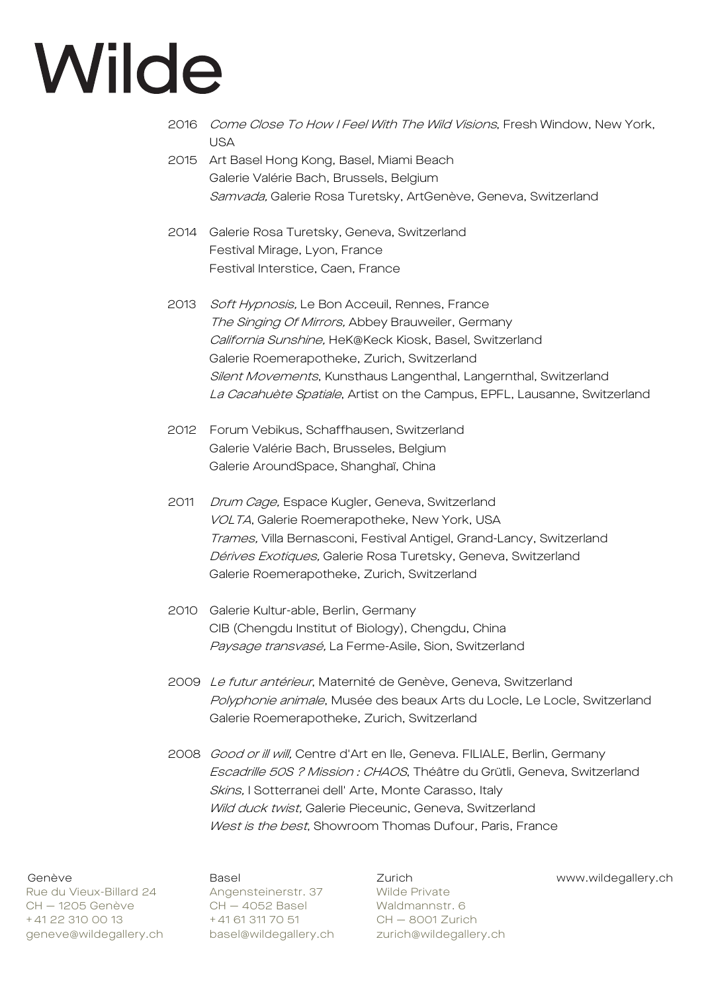- 2016 Come Close To How I Feel With The Wild Visions, Fresh Window, New York, USA
- 2015 Art Basel Hong Kong, Basel, Miami Beach Galerie Valérie Bach, Brussels, Belgium Samvada, Galerie Rosa Turetsky, ArtGenève, Geneva, Switzerland
- 2014 Galerie Rosa Turetsky, Geneva, Switzerland Festival Mirage, Lyon, France Festival Interstice, Caen, France
- 2013 Soft Hypnosis, Le Bon Acceuil, Rennes, France The Singing Of Mirrors, Abbey Brauweiler, Germany California Sunshine, HeK@Keck Kiosk, Basel, Switzerland Galerie Roemerapotheke, Zurich, Switzerland Silent Movements, Kunsthaus Langenthal, Langernthal, Switzerland La Cacahuète Spatiale, Artist on the Campus, EPFL, Lausanne, Switzerland
- 2012 Forum Vebikus, Schaffhausen, Switzerland Galerie Valérie Bach, Brusseles, Belgium Galerie AroundSpace, Shanghaï, China
- 2011 Drum Cage, Espace Kugler, Geneva, Switzerland VOLTA, Galerie Roemerapotheke, New York, USA Trames, Villa Bernasconi, Festival Antigel, Grand-Lancy, Switzerland Dérives Exotiques, Galerie Rosa Turetsky, Geneva, Switzerland Galerie Roemerapotheke, Zurich, Switzerland
- 2010 Galerie Kultur-able, Berlin, Germany CIB (Chengdu Institut of Biology), Chengdu, China Paysage transvasé, La Ferme-Asile, Sion, Switzerland
- 2009 Le futur antérieur, Maternité de Genève, Geneva, Switzerland Polyphonie animale, Musée des beaux Arts du Locle, Le Locle, Switzerland Galerie Roemerapotheke, Zurich, Switzerland
- 2008 Good or ill will, Centre d'Art en Ile, Geneva. FILIALE, Berlin, Germany Escadrille 50S ? Mission : CHAOS, Théâtre du Grütli, Geneva, Switzerland Skins, I Sotterranei dell' Arte, Monte Carasso, Italy Wild duck twist, Galerie Pieceunic, Geneva, Switzerland West is the best, Showroom Thomas Dufour, Paris, France

Rue du Vieux-Billard 24 Angensteinerstr. 37 Wilde Private CH — 1205 Genève CH — 4052 Basel Waldmannstr. 6 + 41 22 310 00 13 + 41 61 311 70 51 CH - 8001 Zurich geneve@wildegallery.ch basel@wildegallery.ch zurich@wildegallery.ch

Genève Basel Zurich www.wildegallery.ch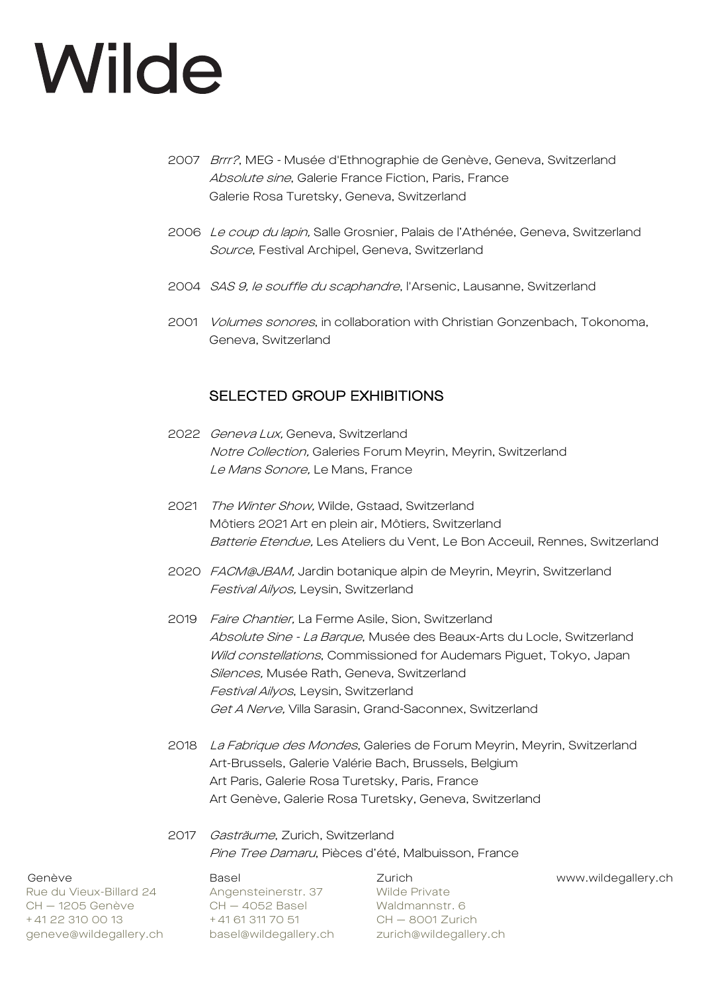- 2007 Brrr?, MEG Musée d'Ethnographie de Genève, Geneva, Switzerland Absolute sine, Galerie France Fiction, Paris, France Galerie Rosa Turetsky, Geneva, Switzerland
- 2006 Le coup du lapin, Salle Grosnier, Palais de l'Athénée, Geneva, Switzerland Source, Festival Archipel, Geneva, Switzerland
- 2004 SAS 9, le souffle du scaphandre, l'Arsenic, Lausanne, Switzerland
- 2001 Volumes sonores, in collaboration with Christian Gonzenbach, Tokonoma, Geneva, Switzerland

## SELECTED GROUP EXHIBITIONS

- 2022 Geneva Lux, Geneva, Switzerland Notre Collection, Galeries Forum Meyrin, Meyrin, Switzerland Le Mans Sonore, Le Mans, France
- 2021 The Winter Show, Wilde, Gstaad, Switzerland Môtiers 2021 Art en plein air, Môtiers, Switzerland Batterie Etendue, Les Ateliers du Vent, Le Bon Acceuil, Rennes, Switzerland
- 2020 FACM@JBAM, Jardin botanique alpin de Meyrin, Meyrin, Switzerland Festival Ailyos, Leysin, Switzerland
- 2019 Faire Chantier, La Ferme Asile, Sion, Switzerland Absolute Sine - La Barque, Musée des Beaux-Arts du Locle, Switzerland Wild constellations, Commissioned for Audemars Piguet, Tokyo, Japan Silences, Musée Rath, Geneva, Switzerland Festival Ailyos, Leysin, Switzerland Get A Nerve, Villa Sarasin, Grand-Saconnex, Switzerland
- 2018 La Fabrique des Mondes, Galeries de Forum Meyrin, Meyrin, Switzerland Art-Brussels, Galerie Valérie Bach, Brussels, Belgium Art Paris, Galerie Rosa Turetsky, Paris, France Art Genève, Galerie Rosa Turetsky, Geneva, Switzerland

## 2017 Gasträume, Zurich, Switzerland Pine Tree Damaru, Pièces d'été, Malbuisson, France

Rue du Vieux-Billard 24 Angensteinerstr. 37 Wilde Private<br>CH - 1205 Genève CH - 4052 Basel Waldmannstr. 6 + 41 22 310 00 13 + 41 61 311 70 51 CH - 8001 Zurich geneve@wildegallery.ch basel@wildegallery.ch zurich@wildegallery.ch

Angenere...<br>CH — 4052 Basel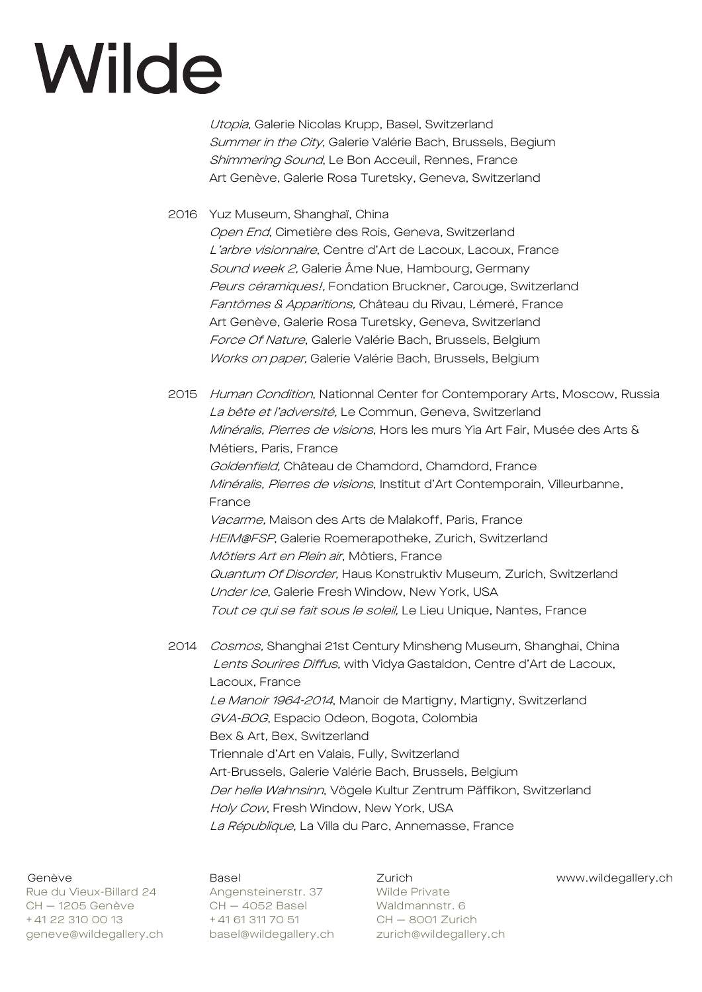Utopia, Galerie Nicolas Krupp, Basel, Switzerland Summer in the City, Galerie Valérie Bach, Brussels, Begium Shimmering Sound, Le Bon Acceuil, Rennes, France Art Genève, Galerie Rosa Turetsky, Geneva, Switzerland

2016 Yuz Museum, Shanghaï, China Open End, Cimetière des Rois, Geneva, Switzerland L'arbre visionnaire, Centre d'Art de Lacoux, Lacoux, France Sound week 2, Galerie Âme Nue, Hambourg, Germany Peurs céramiques!, Fondation Bruckner, Carouge, Switzerland Fantômes & Apparitions, Château du Rivau, Lémeré, France Art Genève, Galerie Rosa Turetsky, Geneva, Switzerland Force Of Nature, Galerie Valérie Bach, Brussels, Belgium Works on paper, Galerie Valérie Bach, Brussels, Belgium

2015 Human Condition, Nationnal Center for Contemporary Arts, Moscow, Russia La bête et l'adversité, Le Commun, Geneva, Switzerland Minéralis, Pierres de visions, Hors les murs Yia Art Fair, Musée des Arts & Métiers, Paris, France Goldenfield, Château de Chamdord, Chamdord, France Minéralis, Pierres de visions, Institut d'Art Contemporain, Villeurbanne, France Vacarme, Maison des Arts de Malakoff, Paris, France HEIM@FSP, Galerie Roemerapotheke, Zurich, Switzerland Môtiers Art en Plein air, Môtiers, France Quantum Of Disorder, Haus Konstruktiv Museum, Zurich, Switzerland Under Ice, Galerie Fresh Window, New York, USA Tout ce qui se fait sous le soleil, Le Lieu Unique, Nantes, France

2014 Cosmos, Shanghai 21st Century Minsheng Museum, Shanghai, China Lents Sourires Diffus, with Vidya Gastaldon, Centre d'Art de Lacoux, Lacoux, France Le Manoir 1964-2014, Manoir de Martigny, Martigny, Switzerland GVA-BOG, Espacio Odeon, Bogota, Colombia Bex & Art, Bex, Switzerland Triennale d'Art en Valais, Fully, Switzerland Art-Brussels, Galerie Valérie Bach, Brussels, Belgium Der helle Wahnsinn, Vögele Kultur Zentrum Päffikon, Switzerland Holy Cow, Fresh Window, New York, USA La République, La Villa du Parc, Annemasse, France

Rue du Vieux-Billard 24 Angensteinerstr. 37 Wilde Private nas da 115an 2000 - 1205 Genève 1205 CH – 4052 Basel 1205 Waldmannstr. 6 + 41 22 310 00 13 + 41 61 311 70 51 CH - 8001 Zurich geneve@wildegallery.ch basel@wildegallery.ch zurich@wildegallery.ch

Genève Basel Zurich www.wildegallery.ch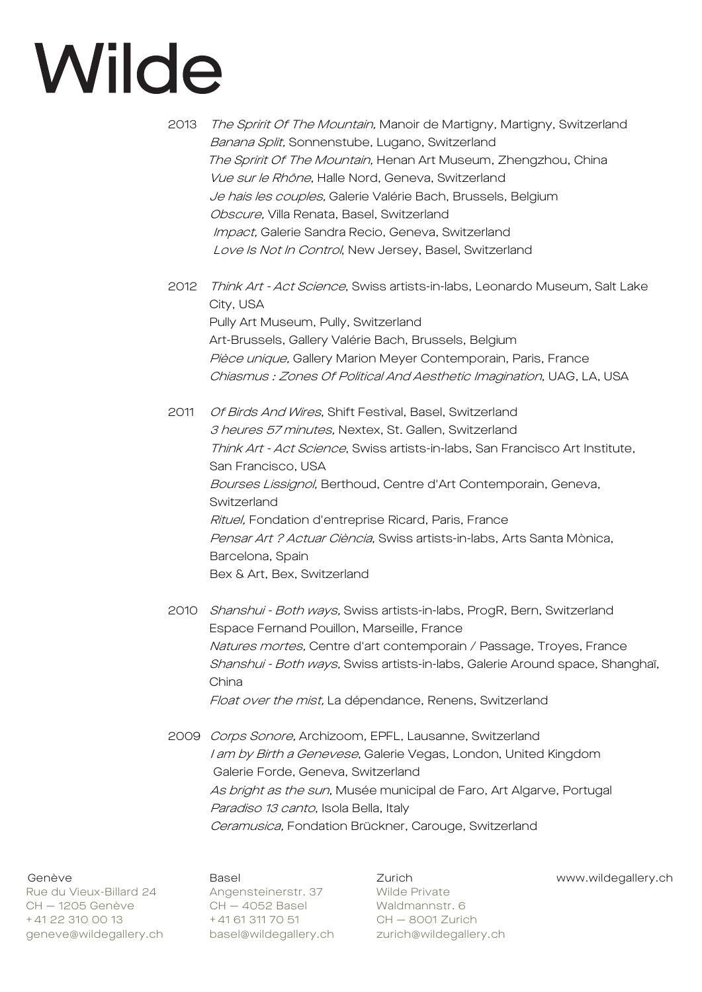2013 The Spririt Of The Mountain, Manoir de Martigny, Martigny, Switzerland Banana Split, Sonnenstube, Lugano, Switzerland The Spririt Of The Mountain, Henan Art Museum, Zhengzhou, China Vue sur le Rhône, Halle Nord, Geneva, Switzerland Je hais les couples, Galerie Valérie Bach, Brussels, Belgium Obscure, Villa Renata, Basel, Switzerland Impact, Galerie Sandra Recio, Geneva, Switzerland Love Is Not In Control, New Jersey, Basel, Switzerland

2012 Think Art - Act Science, Swiss artists-in-labs, Leonardo Museum, Salt Lake City, USA Pully Art Museum, Pully, Switzerland Art-Brussels, Gallery Valérie Bach, Brussels, Belgium Pièce unique, Gallery Marion Meyer Contemporain, Paris, France Chiasmus : Zones Of Political And Aesthetic Imagination, UAG, LA, USA

2011 Of Birds And Wires, Shift Festival, Basel, Switzerland 3 heures 57 minutes, Nextex, St. Gallen, Switzerland Think Art - Act Science, Swiss artists-in-labs, San Francisco Art Institute, San Francisco, USA Bourses Lissignol, Berthoud, Centre d'Art Contemporain, Geneva, Switzerland Rituel, Fondation d'entreprise Ricard, Paris, France Pensar Art ? Actuar Ciència, Swiss artists-in-labs, Arts Santa Mònica, Barcelona, Spain Bex & Art, Bex, Switzerland

- 2010 Shanshui Both ways, Swiss artists-in-labs, ProgR, Bern, Switzerland Espace Fernand Pouillon, Marseille, France Natures mortes, Centre d'art contemporain / Passage, Troyes, France Shanshui - Both ways, Swiss artists-in-labs, Galerie Around space, Shanghaï, China Float over the mist, La dépendance, Renens, Switzerland
- 2009 Corps Sonore, Archizoom, EPFL, Lausanne, Switzerland I am by Birth a Genevese, Galerie Vegas, London, United Kingdom Galerie Forde, Geneva, Switzerland As bright as the sun, Musée municipal de Faro, Art Algarve, Portugal Paradiso 13 canto, Isola Bella, Italy Ceramusica, Fondation Brückner, Carouge, Switzerland

Rue du Vieux-Billard 24 Angensteinerstr. 37 Wilde Private CH — 1205 Genève CH — 4052 Basel Waldmannstr. 6 + 41 22 310 00 13 + 41 61 311 70 51 CH - 8001 Zurich geneve@wildegallery.ch basel@wildegallery.ch zurich@wildegallery.ch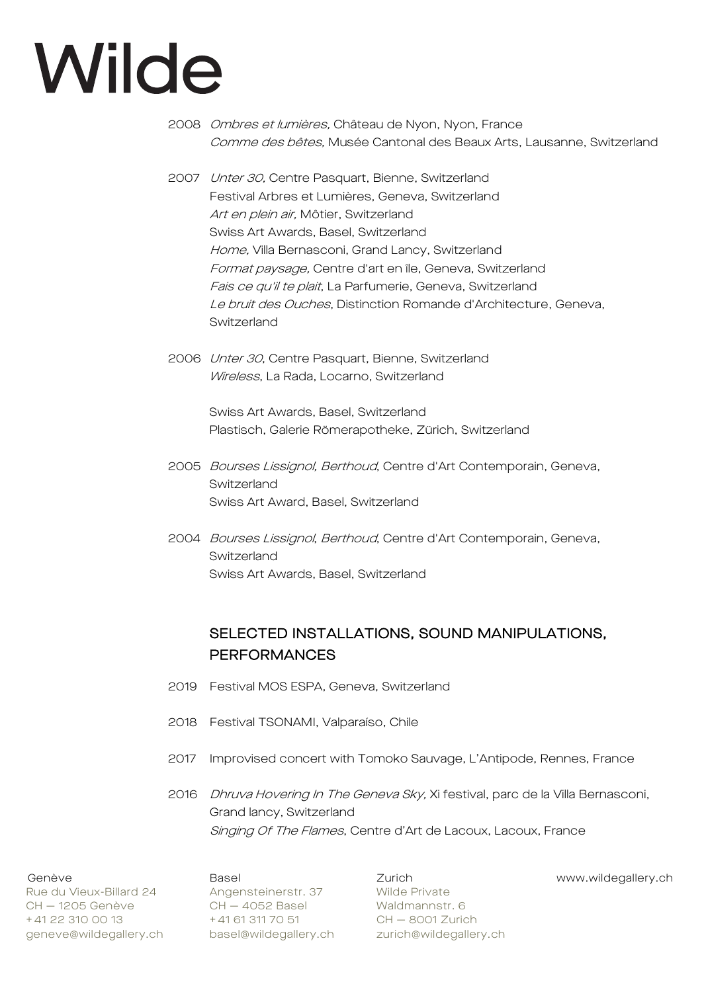- 2008 Ombres et lumières, Château de Nyon, Nyon, France Comme des bêtes, Musée Cantonal des Beaux Arts, Lausanne, Switzerland
- 2007 Unter 30, Centre Pasquart, Bienne, Switzerland Festival Arbres et Lumières, Geneva, Switzerland Art en plein air, Môtier, Switzerland Swiss Art Awards, Basel, Switzerland Home, Villa Bernasconi, Grand Lancy, Switzerland Format paysage, Centre d'art en île, Geneva, Switzerland Fais ce qu'il te plait, La Parfumerie, Geneva, Switzerland Le bruit des Ouches, Distinction Romande d'Architecture, Geneva, Switzerland
- 2006 Unter 30, Centre Pasquart, Bienne, Switzerland Wireless, La Rada, Locarno, Switzerland

Swiss Art Awards, Basel, Switzerland Plastisch, Galerie Römerapotheke, Zürich, Switzerland

- 2005 Bourses Lissignol, Berthoud, Centre d'Art Contemporain, Geneva, Switzerland Swiss Art Award, Basel, Switzerland
- 2004 Bourses Lissignol, Berthoud, Centre d'Art Contemporain, Geneva, Switzerland Swiss Art Awards, Basel, Switzerland

## SELECTED INSTALLATIONS, SOUND MANIPULATIONS, **PERFORMANCES**

- 2019 Festival MOS ESPA, Geneva, Switzerland
- 2018 Festival TSONAMI, Valparaíso, Chile
- 2017 Improvised concert with Tomoko Sauvage, L'Antipode, Rennes, France
- 2016 *Dhruva Hovering In The Geneva Sky*, Xi festival, parc de la Villa Bernasconi, Grand lancy, Switzerland Singing Of The Flames, Centre d'Art de Lacoux, Lacoux, France

Rue du Vieux-Billard 24 Angensteinerstr. 37 Wilde Private CH — 1205 Genève CH — 4052 Basel Waldmannstr. 6 + 41 22 310 00 13 + 41 61 311 70 51 CH - 8001 Zurich geneve@wildegallery.ch basel@wildegallery.ch zurich@wildegallery.ch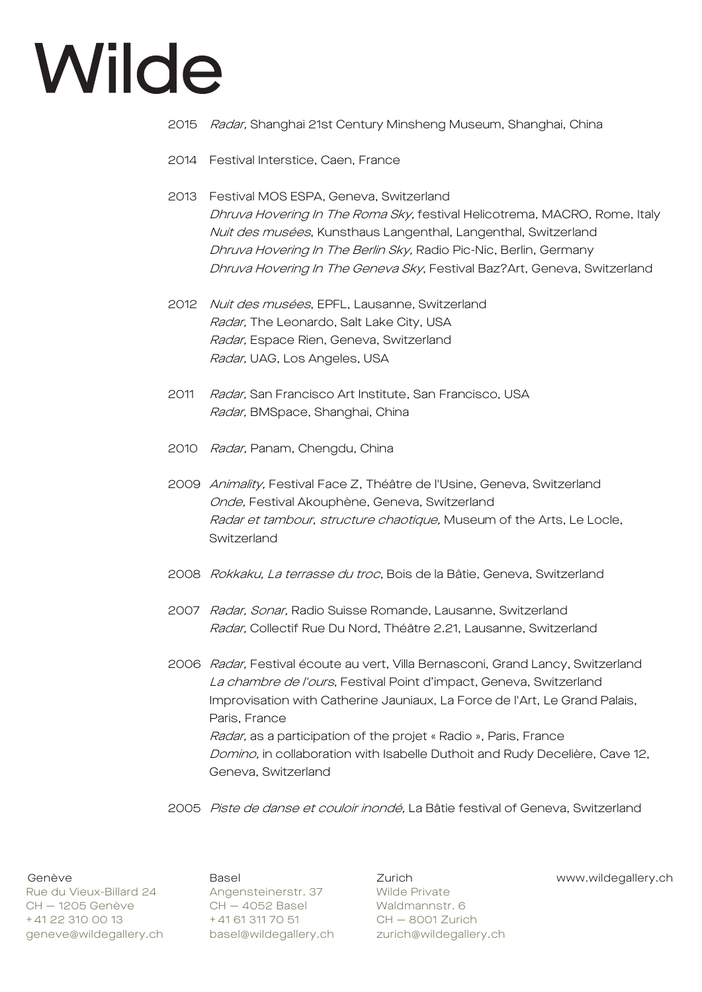- 2015 Radar, Shanghai 21st Century Minsheng Museum, Shanghai, China
- 2014 Festival Interstice, Caen, France
- 2013 Festival MOS ESPA, Geneva, Switzerland Dhruva Hovering In The Roma Sky, festival Helicotrema, MACRO, Rome, Italy Nuit des musées, Kunsthaus Langenthal, Langenthal, Switzerland Dhruva Hovering In The Berlin Sky, Radio Pic-Nic, Berlin, Germany Dhruva Hovering In The Geneva Sky, Festival Baz?Art, Geneva, Switzerland
- 2012 Nuit des musées, EPFL, Lausanne, Switzerland Radar, The Leonardo, Salt Lake City, USA Radar, Espace Rien, Geneva, Switzerland Radar, UAG, Los Angeles, USA
- 2011 Radar, San Francisco Art Institute, San Francisco, USA Radar, BMSpace, Shanghai, China
- 2010 Radar, Panam, Chengdu, China
- 2009 Animality, Festival Face Z, Théâtre de l'Usine, Geneva, Switzerland Onde, Festival Akouphène, Geneva, Switzerland Radar et tambour, structure chaotique, Museum of the Arts, Le Locle, Switzerland
- 2008 Rokkaku, La terrasse du troc, Bois de la Bâtie, Geneva, Switzerland
- 2007 Radar, Sonar, Radio Suisse Romande, Lausanne, Switzerland Radar, Collectif Rue Du Nord, Théâtre 2.21, Lausanne, Switzerland
- 2006 Radar, Festival écoute au vert, Villa Bernasconi, Grand Lancy, Switzerland La chambre de l'ours, Festival Point d'impact, Geneva, Switzerland Improvisation with Catherine Jauniaux, La Force de l'Art, Le Grand Palais, Paris, France Radar, as a participation of the projet « Radio », Paris, France Domino, in collaboration with Isabelle Duthoit and Rudy Decelière, Cave 12, Geneva, Switzerland
- 2005 Piste de danse et couloir inondé, La Bâtie festival of Geneva, Switzerland

Rue du Vieux-Billard 24 Angensteinerstr. 37 Wilde Private nas da 115an 2000 - 1205 Genève 1205 CH – 4052 Basel 1205 Waldmannstr. 6 + 41 22 310 00 13 + 41 61 311 70 51 CH - 8001 Zurich geneve@wildegallery.ch basel@wildegallery.ch zurich@wildegallery.ch

Genève **Basel Basel Zurich Wildegallery.ch** Basel **Zurich** Basel Burich Wildegallery.ch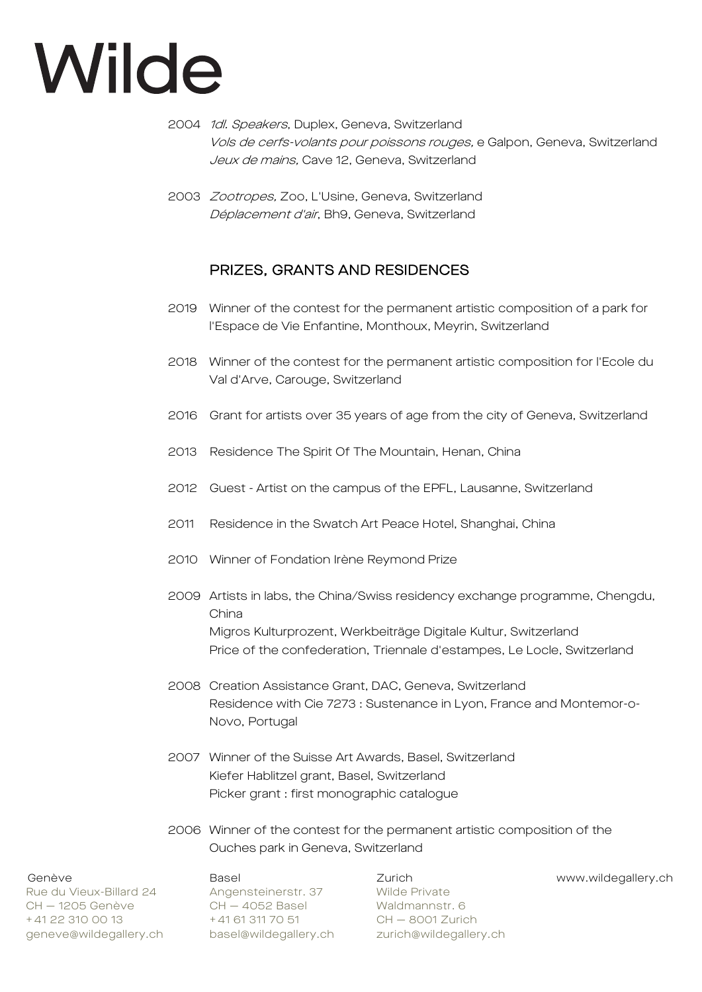- 2004 1dl. Speakers, Duplex, Geneva, Switzerland Vols de cerfs-volants pour poissons rouges, e Galpon, Geneva, Switzerland Jeux de mains, Cave 12, Geneva, Switzerland
- 2003 Zootropes, Zoo, L'Usine, Geneva, Switzerland Déplacement d'air, Bh9, Geneva, Switzerland

## PRIZES, GRANTS AND RESIDENCES

- 2019 Winner of the contest for the permanent artistic composition of a park for l'Espace de Vie Enfantine, Monthoux, Meyrin, Switzerland
- 2018 Winner of the contest for the permanent artistic composition for l'Ecole du Val d'Arve, Carouge, Switzerland
- 2016 Grant for artists over 35 years of age from the city of Geneva, Switzerland
- 2013 Residence The Spirit Of The Mountain, Henan, China
- 2012 Guest Artist on the campus of the EPFL, Lausanne, Switzerland
- 2011 Residence in the Swatch Art Peace Hotel, Shanghai, China
- 2010 Winner of Fondation Irène Reymond Prize
- 2009 Artists in labs, the China/Swiss residency exchange programme, Chengdu, China Migros Kulturprozent, Werkbeiträge Digitale Kultur, Switzerland Price of the confederation, Triennale d'estampes, Le Locle, Switzerland
- 2008 Creation Assistance Grant, DAC, Geneva, Switzerland Residence with Cie 7273 : Sustenance in Lyon, France and Montemor-o-Novo, Portugal
- 2007 Winner of the Suisse Art Awards, Basel, Switzerland Kiefer Hablitzel grant, Basel, Switzerland Picker grant : first monographic catalogue
- 2006 Winner of the contest for the permanent artistic composition of the Ouches park in Geneva, Switzerland

Rue du Vieux-Billard 24 Angensteinerstr. 37 Wilde Private CH — 1205 Genève CH — 4052 Basel Waldmannstr. 6 + 41 22 310 00 13 + 41 61 311 70 51 CH - 8001 Zurich geneve@wildegallery.ch basel@wildegallery.ch zurich@wildegallery.ch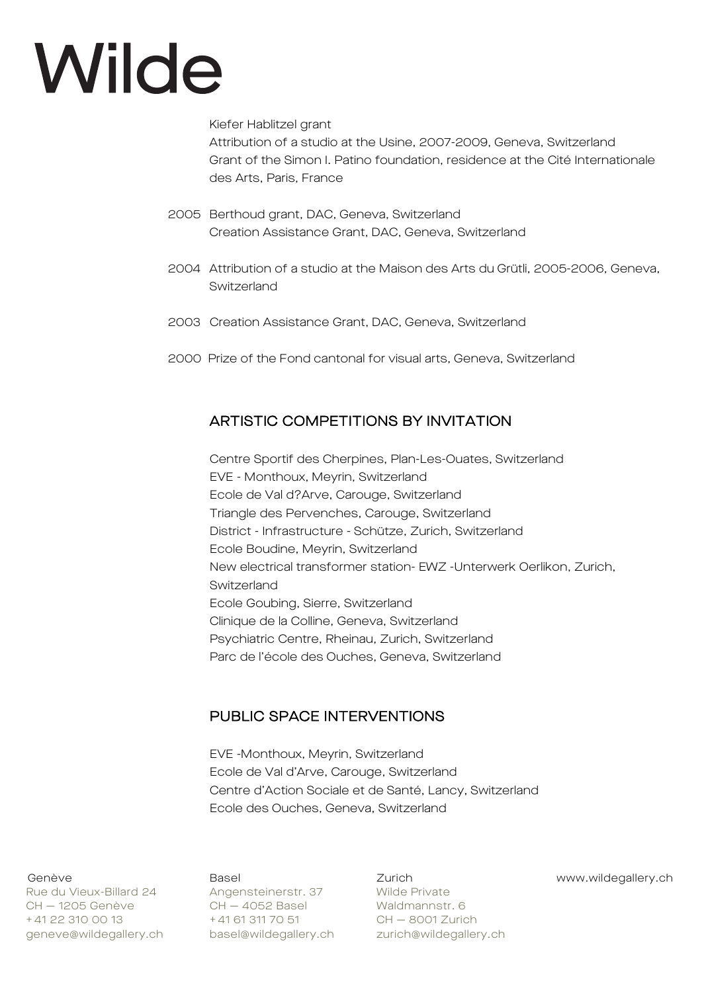Kiefer Hablitzel grant

Attribution of a studio at the Usine, 2007-2009, Geneva, Switzerland Grant of the Simon I. Patino foundation, residence at the Cité Internationale des Arts, Paris, France

- 2005 Berthoud grant, DAC, Geneva, Switzerland Creation Assistance Grant, DAC, Geneva, Switzerland
- 2004 Attribution of a studio at the Maison des Arts du Grütli, 2005-2006, Geneva, Switzerland
- 2003 Creation Assistance Grant, DAC, Geneva, Switzerland
- 2000 Prize of the Fond cantonal for visual arts, Geneva, Switzerland

## ARTISTIC COMPETITIONS BY INVITATION

Centre Sportif des Cherpines, Plan-Les-Ouates, Switzerland EVE - Monthoux, Meyrin, Switzerland Ecole de Val d?Arve, Carouge, Switzerland Triangle des Pervenches, Carouge, Switzerland District - Infrastructure - Schütze, Zurich, Switzerland Ecole Boudine, Meyrin, Switzerland New electrical transformer station- EWZ -Unterwerk Oerlikon, Zurich, Switzerland Ecole Goubing, Sierre, Switzerland Clinique de la Colline, Geneva, Switzerland Psychiatric Centre, Rheinau, Zurich, Switzerland Parc de l'école des Ouches, Geneva, Switzerland

## PUBLIC SPACE INTERVENTIONS

EVE -Monthoux, Meyrin, Switzerland Ecole de Val d'Arve, Carouge, Switzerland Centre d'Action Sociale et de Santé, Lancy, Switzerland Ecole des Ouches, Geneva, Switzerland

Rue du Vieux-Billard 24 Angensteinerstr. 37 Wilde Private CH — 1205 Genève CH — 4052 Basel Waldmannstr. 6 + 41 22 310 00 13 + 41 61 311 70 51 CH - 8001 Zurich geneve@wildegallery.ch basel@wildegallery.ch zurich@wildegallery.ch

Genève Basel Zurich www.wildegallery.ch